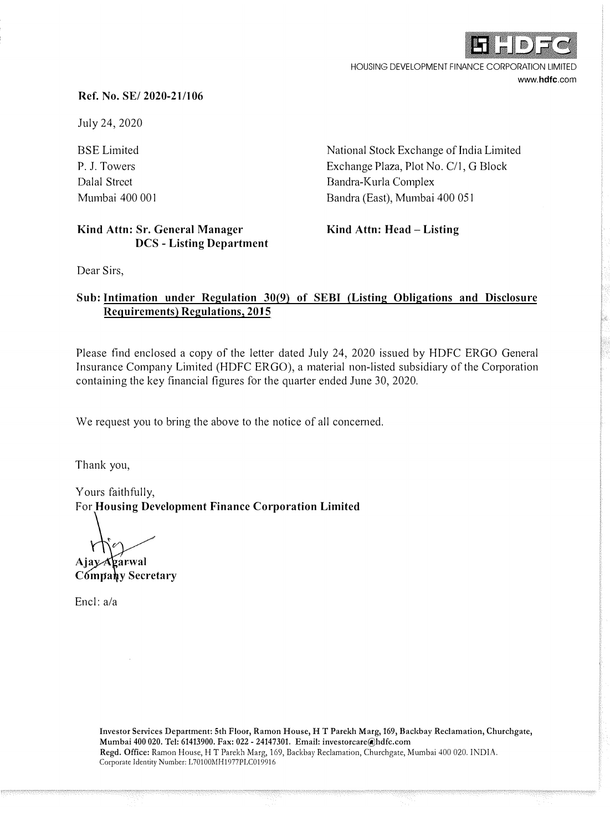

HOUSING DEVELOPMENT FINANCE CORPORATION LIMITED **www.hdfc.com** 

#### **Ref. No. SE/ 2020-21/106**

July 24, 2020

BSE Limited P. J. Towers Dalal Street Mumbai 400 001

National Stock Exchange of India Limited Exchange Plaza, Plot No. C/1, G Block Bandra-Kurla Complex Bandra (East), Mumbai 400 051

#### **Kind Attn: Sr. General Manager DCS - Listing Department**

**Kind Attn: Head - Listing** 

Dear Sirs,

### **Sub: Intimation under Regulation 30(9) of SEBI (Listing Obligations and Disclosure Requirements) Regulations, 2015**

Please find enclosed a copy of the letter dated July 24, 2020 issued by HDFC ERGO General Insurance Company Limited (HDFC ERGO), a material non-listed subsidiary of the Corporation containing the key financial figures for the quarter ended June 30, 2020.

We request you to bring the above to the notice of all concerned.

Thank you,

Yours faithfully, For **Housing Development Finance Corporation Limited** 

Ajay Agarwal

Company Secretary

Encl: a/a

Investor Services Department: 5th Floor, Ramon House, HT Parekh Marg, 169, Baekbay Reclamation, Churchgate, Mumbai 400 020. Tel: 61413900. Fax: 022 - 24147301. Email: investorcare@hdfc.com Regd. Office: Ramon House, HT Parekh Marg, 169, Backbay Reclamation, Churchgate, Mumbai 400 020. INDIA. Corporate Identity Number: L70100MH1977PLC019916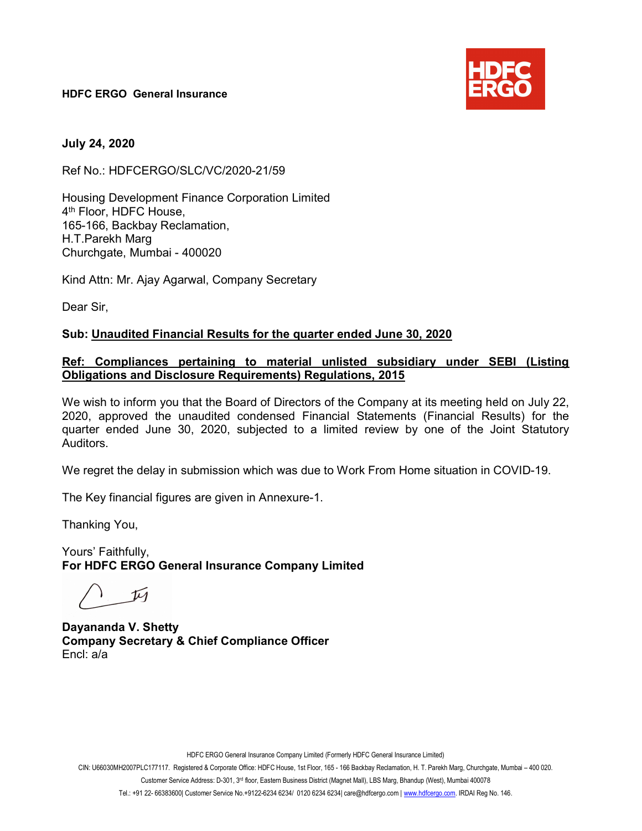HDFC ERGO General Insurance



July 24, 2020

Ref No.: HDFCERGO/SLC/VC/2020-21/59

Housing Development Finance Corporation Limited 4 th Floor, HDFC House, 165-166, Backbay Reclamation, H.T.Parekh Marg Churchgate, Mumbai - 400020

Kind Attn: Mr. Ajay Agarwal, Company Secretary

Dear Sir,

#### Sub: Unaudited Financial Results for the quarter ended June 30, 2020

#### Ref: Compliances pertaining to material unlisted subsidiary under SEBI (Listing Obligations and Disclosure Requirements) Regulations, 2015

We wish to inform you that the Board of Directors of the Company at its meeting held on July 22, 2020, approved the unaudited condensed Financial Statements (Financial Results) for the quarter ended June 30, 2020, subjected to a limited review by one of the Joint Statutory Auditors.

We regret the delay in submission which was due to Work From Home situation in COVID-19.

The Key financial figures are given in Annexure-1.

Thanking You,

Yours' Faithfully, For HDFC ERGO General Insurance Company Limited

 $\sqrt{u}$ 

Dayananda V. Shetty Company Secretary & Chief Compliance Officer Encl: a/a

HDFC ERGO General Insurance Company Limited (Formerly HDFC General Insurance Limited)

CIN: U66030MH2007PLC177117. Registered & Corporate Office: HDFC House, 1st Floor, 165 - 166 Backbay Reclamation, H. T. Parekh Marg, Churchgate, Mumbai – 400 020.

Customer Service Address: D-301, 3rd floor, Eastern Business District (Magnet Mall), LBS Marg, Bhandup (West), Mumbai 400078

Tel.: +91 22- 66383600| Customer Service No.+9122-6234 6234/ 0120 6234 6234| care@hdfcergo.com | www.hdfcergo.com. IRDAI Reg No. 146.